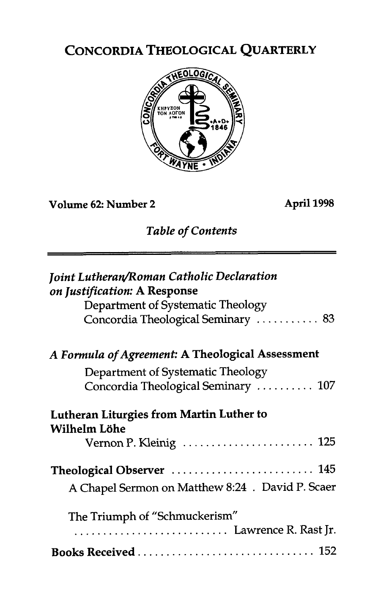# CONCORDIA THEOLOGICAL QUARTERLY



### **Volume 62: Number 2 April 1998**

*Table of Contents* 

| <b>Joint Lutheran/Roman Catholic Declaration</b><br>on Justification: A Response<br>Department of Systematic Theology<br>Concordia Theological Seminary  83 |
|-------------------------------------------------------------------------------------------------------------------------------------------------------------|
| A Formula of Agreement: A Theological Assessment                                                                                                            |
| Department of Systematic Theology<br>Concordia Theological Seminary  107                                                                                    |
| Lutheran Liturgies from Martin Luther to<br>Wilhelm Löhe                                                                                                    |
| Vernon P. Kleinig  125                                                                                                                                      |
| Theological Observer  145<br>A Chapel Sermon on Matthew 8:24 . David P. Scaer                                                                               |
| The Triumph of "Schmuckerism"                                                                                                                               |
|                                                                                                                                                             |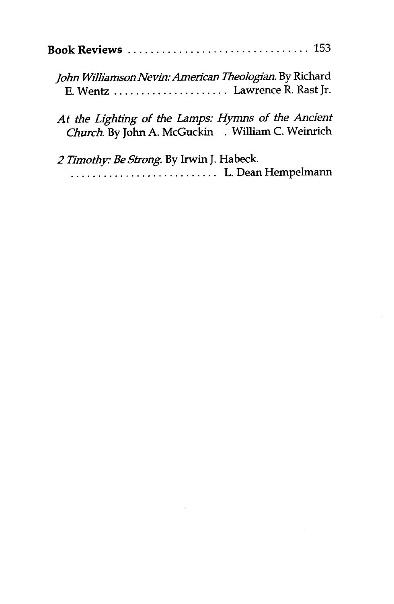| John Williamson Nevin: American Theologian. By Richard |  |
|--------------------------------------------------------|--|

*At the Lighfing of the Lamps: Hymns of the Ancient Church.* By **John A. McGuckin** . William C. Weinrich

E. Wentz . . . . . . . . . . . . . . . . . . . . . Lawrence R. Rast Jr.

*2 Timofhy: Be Strong.* By Irwin J. Habeck. . . . . . . . . . . . . . . . . . . . . . . . . . . . L. Dean Hempelmann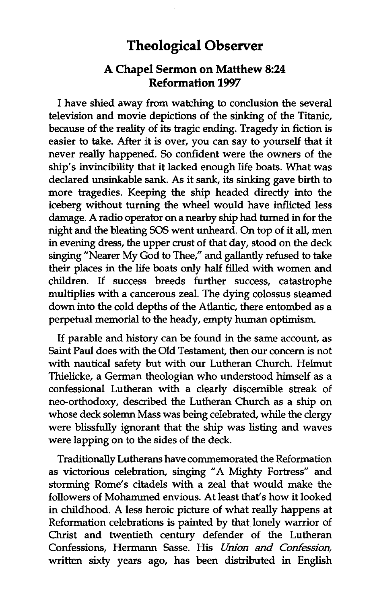## **Theological Observer**

#### **A Chapel Sermon on Matthew 8:24 Reformation 1997**

I have shied away from watching to conclusion the several television and movie depictions of the sinking of the Titanic, because of the reality of its tragic ending. Tragedy in fiction is easier to take. After it is over, you can say to yourself that it never really happened. So confident were the owners of the ship's invincibility that it lacked enough life boats. What was declared unsinkable sank. As it sank, its sinking gave birth to more tragedies. Keeping the ship headed directly into the iceberg without turning the wheel would have inflicted less damage. A radio operator on a nearby ship had turned in for the night and the bleating *SOS* went unheard. On top of it all, men in evening dress, the upper crust of that day, stood on the deck singing "Nearer My God to Thee," and gallantly refused to take their places in the life boats only half filled with women and children. If success breeds further success, catastrophe multiplies with a cancerous zeal. The dying colossus steamed down into the cold depths of the Atlantic, there entombed as a perpetual memorial to the heady, empty human optimism.

If parable and history can be found in the same account, as Saint Paul does with the Old Testament, then our concern is not with nautical safety but with our Lutheran Church. Helmut Thielicke, a German theologian who understood himself as a confessional Lutheran with a clearly discernible streak of neo-orthodoxy, described the Lutheran Church as a ship on whose deck solemn Mass was being celebrated, while the clergy were blissfully ignorant that the ship was listing and waves were lapping on to the sides of the deck.

Traditionally Lutherans have commemorated the Reformation as victorious celebration, singing "A Mighty Fortress" and storming Rome's citadels with a zeal that would make the followers of Mohammed envious. At least that's how it looked in childhood. A less heroic picture of what really happens at Reformation celebrations is painted by that lonely warrior of Christ and twentieth century defender of the Lutheran Confessions, Hermann Sasse. His Union and Confession, written sixty years ago, has been distributed in English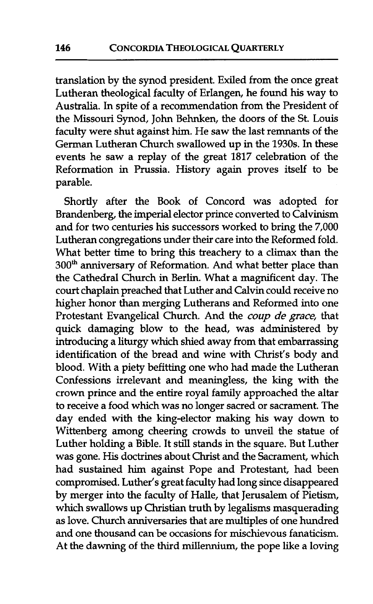translation by the synod president. Exiled from the once great Lutheran theological faculty of Erlangen, he found his way to Australia. In spite of a recommendation from the President of the Missouri Synod, John Behnken, the doors of the St. Louis faculty were shut against him. He saw the last remnants of the German Lutheran Church swallowed up in the 1930s. In these events he saw a replay of the great 1817 celebration of the Reformation in Prussia. History again proves itself to be parable.

Shortly after the Book of Concord was adopted for Brandenberg, the imperial elector prince converted to Calvinism and for two centuries his successors worked to bring the 7,000 Lutheran congregations under their care into the Reformed fold. What better time to bring this treachery to a climax than the 300<sup>th</sup> anniversary of Reformation. And what better place than the Cathedral Church in Berlin. What a magnificent day. The court chaplain preached that Luther and Calvin could receive no higher honor **than** merging Lutherans and Reformed into one Protestant Evangelical Church. And the coup de grace, that quick damaging blow to the head, was administered by introducing a liturgy which shied away from that embarrassing identification of the bread and wine with Christ's body and blood. With a piety befitting one who had made the Lutheran Confessions irrelevant and meaningless, the king with the crown prince and the entire royal family approached the altar to receive a food which was no longer sacred or sacrament. The day ended with the king-elector making his way down to Wittenberg among cheering crowds to unveil the statue of Luther holding a Bible. It still stands in the square. But Luther was gone. **His** doctrines about Christ and the Sacrament, which had sustained him against Pope and Protestant, had been compromised. Luther's great faculty had long since disappeared by merger into the faculty of Halle, that Jerusalem of Pietism, which swallows up **Christian** truth by legalisms masquerading as love. Church anniversaries that are multiples of one hundred and one thousand can be occasions for mischievous fanaticism. At the dawning of the third millennium, the pope like a loving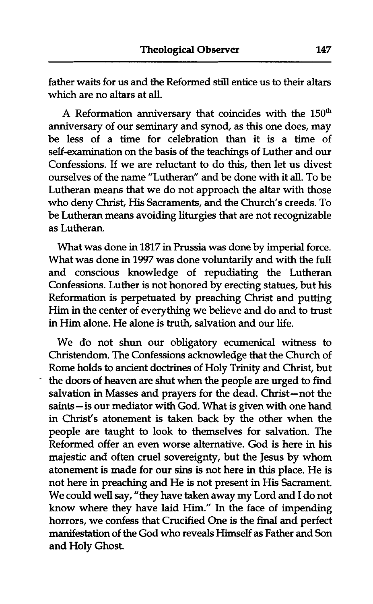father waits for us and the Reformed still entice us to their altars which are no altars at **all.** 

A Reformation anniversary that coincides with the  $150<sup>th</sup>$ anniversary of our seminary and synod, as this one does, may be less of a time for celebration than it is a time of self-examination on the basis of the teachings of Luther and our Confessions. If we are reluctant to do this, then let us divest ourselves of the name "Lutheran" and be done with it **aU.** To be Lutheran means that we do not approach the altar with those who deny Christ, His Sacraments, and the Church's creeds. To be Lutheran means avoiding liturgies that are not recognizable as Lutheran.

What was done in 1817 in Prussia was done by imperial force. What was done in 1997 was done voluntarily and with the full and conscious knowledge of repudiating the Lutheran Confessions. Luther is not honored by erecting statues, but his Reformation is perpetuated by preaching Christ and putting Him in the center of everything we believe and do and to trust in Him alone. He alone is truth, salvation and our life.

We do not shun our obligatory ecumenical witness to Christendom. The Confessions acknowledge that the Church of Rome holds to ancient doctrines of Holy Trinity and Christ, but the doors of heaven are shut when the people are urged to find salvation in Masses and prayers for the dead. Christ-not the saints- is our mediator with God. What is given with one hand in Christ's atonement is taken back by the other when the people are taught to look to themselves for salvation. The Reformed offer an even worse alternative. God is here in his majestic and often cruel sovereignty, but the Jesus by whom atonement is made for our sins is not here in this place. He is not here in preaching and He is not present in His Sacrament. We could well say, "they have taken away my Lord and I do not know where they have laid Him." In the face of impending horrors, we confess that Crucified One is the final and perfect manifestation of the God who reveals Himself as Father and Son and Holy Ghost.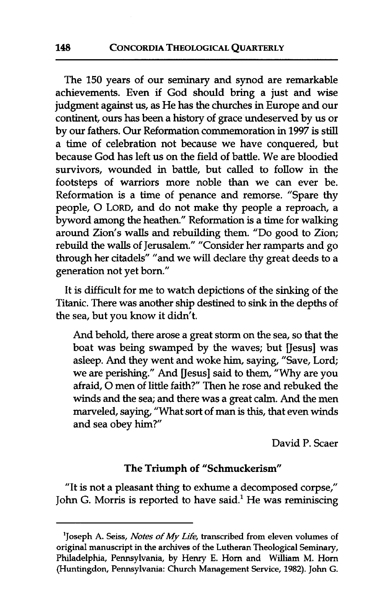The 150 years of our seminary and synod are remarkable achievements. Even if God should bring a just and wise judgment against us, as He has the churches in Europe and our continent, ours has been a history of grace undeserved by us or by our fathers. Our Reformation commemoration in 1997 is still a time of celebration not because we have conquered, but because God has left us on the field of battle. We are bloodied survivors, wounded in battle, but called to follow in the footsteps of warriors more noble than we can ever be. Reformation is a time of penance and remorse. "Spare thy people, 0 LORD, and do not make thy people a reproach, a byword among the heathen." Reformation is a time for walking around Zion's walls and rebuilding them. "Do good to Zion; rebuild the walls of Jerusalem." "Consider her ramparts and go through her citadels" "and we will declare thy great deeds to a generation not yet born."

It is difficult for me to watch depictions of the sinking of the Titanic. There **was** another ship destined to sink in the depths of the sea, but you know it didn't.

And behold, there arose a great storm on the sea, so that the boat was being swamped by the waves; but [Jesus] was asleep. And they went and woke him, saying, "Save, Lord; we are perishing." And [Jesus] said to them, "Why are you afraid, 0 men of little faith?" Then he rose and rebuked the winds and the sea; and there was a great calm. And the men marveled, saying, "What sort of man is this, that even winds and sea obey him?"

David P. Scaer

#### **The Triumph of "Schmuckerism"**

"It is not a pleasant thing to exhume a decomposed corpse," John G. Morris is reported to have said.<sup>1</sup> He was reminiscing

**<sup>&#</sup>x27;Joseph A. Seiss,** *Notes of My Life,* **transcribed from eleven volumes of original manuscript in the archives of the Lutheran Theological Seminary, Philadelphia, Pennsylvania, by Henry E. Horn and William M. Horn (Huntingdon, Pennsylvania: Church Management Service, 1982). John** *G.*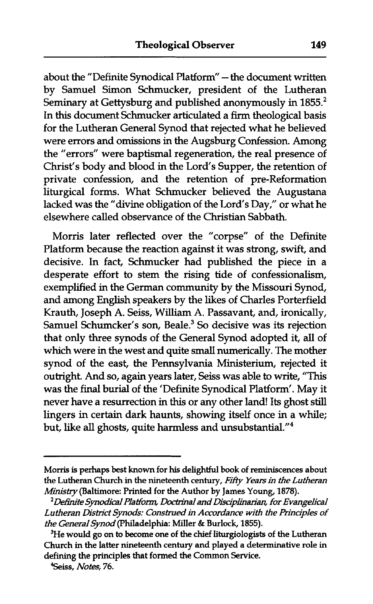about the "Definite Synodical Platform" - the document written by Samuel Simon Schmucker, president of the Lutheran Seminary at Gettysburg and published anonymously in 1855.<sup>2</sup> In this document Schmucker articulated a firm theological basis for the Lutheran General Synod that rejected what he believed were errors and omissions in the Augsburg Confession. Among the "errors" were baptismal regeneration, the real presence of Christ's body and blood in the Lord's Supper, the retention of private confession, and the retention of pre-Reformation liturgical forms. What Schmucker believed the Augustana lacked was the "divine obligation of the Lord's Day," or what he elsewhere called observance of the Christian Sabbath.

Morris later reflected over the "corpse" of the Definite Platform because the reaction against it was strong, swift, and decisive. In fact, Schmucker had published the piece in a desperate effort to stem the rising tide of confessionalism, exemplified in the German community by the Missouri Synod, and among English speakers by the likes of Charles Porterfield Krauth, Joseph A. Seiss, William A. Passavant, and, ironically, Samuel Schumcker's son, Beale.<sup>3</sup> So decisive was its rejection that only three synods of the General Synod adopted it, all of which were in the west and quite small numerically. The mother synod of the east, the Pennsylvania Ministerium, rejected it outright. And so, again years later, Seiss was able to write, "This was the final burial of the 'Definite Synodical Platform'. May it never have a resurrection in this or any other land! Its ghost **still**  lingers in certain dark haunts, showing itself once in a while; but, like all ghosts, quite harmless and unsubstantial."<sup>4</sup>

**Morris is perhaps best known for his delightful book of reminiscences about the Lutheran Church in the nineteenth century, Fifty** *Years in the Lutheran*  **Minisfry(Ba1timore: Printed for the Author by James Young, 1878).** 

*Dehite Sjmdcal PlatTom, Dortrinal and Disc~plinan'an, for Evangelical*  Lutheran District Synods: Construed in Accordance with the Principles of *the General Synod* **(Philadelphia: Miller** & **Burlock, 1855).** 

<sup>&</sup>lt;sup>3</sup>He would go on to become one of the chief liturgiologists of the Lutheran **Church in the latter nineteenth century and played a determinative role in defining the principles that formed the Common Service.** 

**<sup>?</sup>Seiss,** *Notes,* **76.**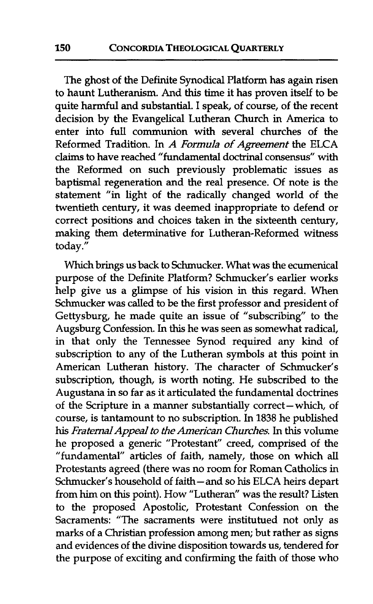The ghost of the Definite Synodical Platform has again risen to haunt Lutheranism. And this time it has proven itself to be quite harmful and substantial. I speak, of course, of the recent decision by the Evangelical Lutheran Church in America to enter into full communion with several churches of the Reformed Tradition. In *A Formula of Agreement* the ELCA claims to have reached "fundamental doctrinal consensus" with the Reformed on such previously problematic issues as baptismal regeneration and the real presence. Of note is the statement "in light of the radically changed world of the twentieth century, it was deemed inappropriate to defend or correct positions and choices taken in the sixteenth century, making them determinative for Lutheran-Reformed witness today."

Which brings us back to Schmucker. What was the ecumenical purpose of the Definite Platform? Schmucker's earlier works help give us a glimpse of his vision in this regard. When Schmucker was called to be the first professor and president of Gettysburg, he made quite an issue of "subscribing" to the Augsburg Confession. In **this** he was seen as somewhat radical, in that only the Tennessee Synod required any kind of subscription to any of the Lutheran symbols at this point in American Lutheran history. The character of Schmucker's subscription, though, is worth noting. He subscribed to the Augustana in so far as it articulated the fundamental doctrines of the Scripture in a manner substantially correct-which, of course, is tantamount to no subscription. In 1838 he published his *Fraternal Appeal to the American Churches.* In this volume he proposed a generic "Protestant" creed, comprised of the "fundamental" articles of faith, namely, those on which **all**  Protestants agreed (there was no room for Roman Catholics in Schmucker's household of faith- and so his ELCA heirs depart from him on this point). How "Lutheran" was the result? Listen to the proposed Apostolic, Protestant Confession on the Sacraments: "The sacraments were institutued not only as marks of a Christian profession among men; but rather as signs and evidences of the divine disposition towards us, tendered for the purpose of exciting and confirming the faith of those who